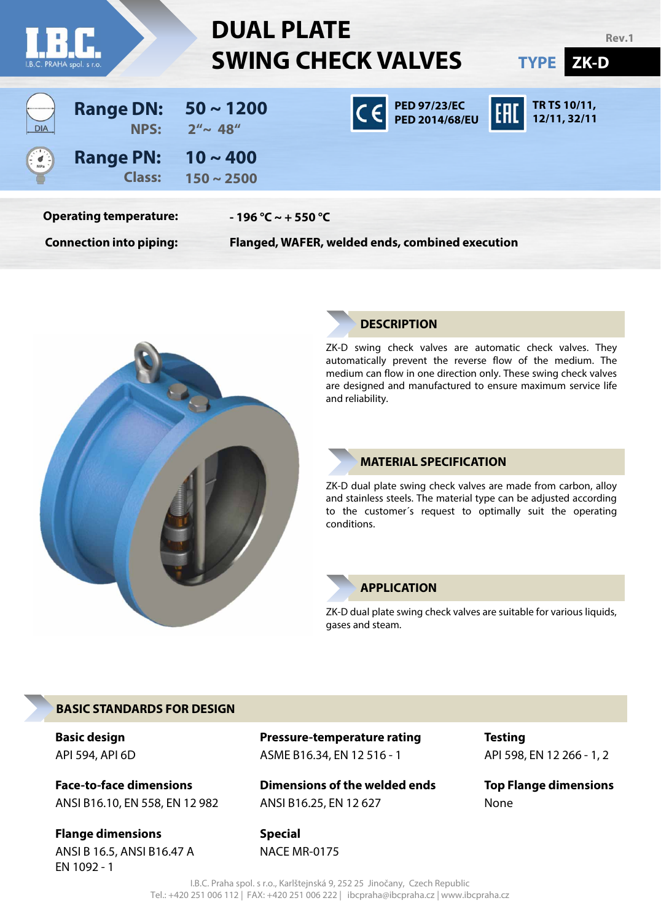| I.B.C. PRAHA spol. s r.o.   |                                                                 | <b>DUAL PLATE</b><br><b>SWING CHECK VALVES</b> | Rev.1<br>ZK-D<br><b>TYPE</b>                                                                                                          |                              |  |  |  |  |
|-----------------------------|-----------------------------------------------------------------|------------------------------------------------|---------------------------------------------------------------------------------------------------------------------------------------|------------------------------|--|--|--|--|
| <b>DIA</b>                  | <b>Range DN:</b><br>NPS:                                        | $50 \sim 1200$<br>$2'' \sim 48''$              | $\overline{C} \in \left[ \begin{array}{cc} \text{PED 97/23/EC} & \text{FHL} \ \text{PED 2014/68/EU} & \text{FHL} \end{array} \right]$ | TR TS 10/11,<br>12/11, 32/11 |  |  |  |  |
| $\frac{1}{2}$ $\frac{1}{2}$ | <b>Range PN:</b><br><b>Class:</b>                               | $10 \sim 400$<br>$150 \sim 2500$               |                                                                                                                                       |                              |  |  |  |  |
|                             | <b>Operating temperature:</b><br><b>Connection into piping:</b> | $-196 °C \sim +550 °C$                         | Flanged, WAFER, welded ends, combined execution                                                                                       |                              |  |  |  |  |



#### **DESCRIPTION**

ZK-D swing check valves are automatic check valves. They automatically prevent the reverse flow of the medium. The medium can flow in one direction only. These swing check valves are designed and manufactured to ensure maximum service life and reliability.

#### **MATERIAL SPECIFICATION**

ZK-D dual plate swing check valves are made from carbon, alloy and stainless steels. The material type can be adjusted according to the customer´s request to optimally suit the operating conditions.

#### **APPLICATION**

ZK-D dual plate swing check valves are suitable for various liquids, gases and steam.

#### **BASIC STANDARDS FOR DESIGN**

**Basic design** API 594, API 6D

**Face-to-face dimensions** ANSI B16.10, EN 558, EN 12 982

**Flange dimensions** ANSI B 16.5, ANSI B16.47 A EN 1092 - 1

**Pressure-temperature rating** ASME B16.34, EN 12 516 - 1

**Dimensions of the welded ends** ANSI B16.25, EN 12 627

**Special** NACE MR-0175 **Testing** API 598, EN 12 266 - 1, 2

**Top Flange dimensions** None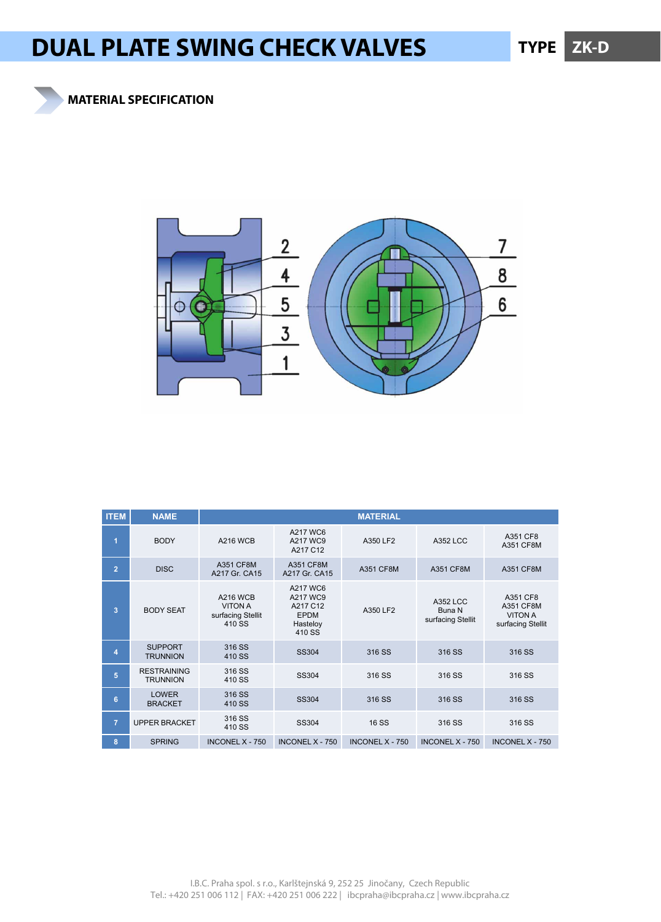### **MATERIAL SPECIFICATION**



| <b>ITEM</b>    | <b>NAME</b>                           |                                                                  |                                                                       | <b>MATERIAL</b>        |                                         |                                                              |
|----------------|---------------------------------------|------------------------------------------------------------------|-----------------------------------------------------------------------|------------------------|-----------------------------------------|--------------------------------------------------------------|
| $\overline{1}$ | <b>BODY</b>                           | <b>A216 WCB</b>                                                  | A217 WC6<br>A217 WC9<br>A217 C12                                      | A350 LF2               | <b>A352 LCC</b>                         | A351 CF8<br>A351 CF8M                                        |
| $\overline{2}$ | <b>DISC</b>                           | A351 CF8M<br>A217 Gr. CA15                                       | A351 CF8M<br>A217 Gr. CA15                                            | A351 CF8M              | <b>A351 CF8M</b>                        | A351 CF8M                                                    |
| 3              | <b>BODY SEAT</b>                      | <b>A216 WCB</b><br><b>VITON A</b><br>surfacing Stellit<br>410 SS | A217 WC6<br>A217 WC9<br>A217 C12<br><b>EPDM</b><br>Hasteloy<br>410 SS | A350 LF2               | A352 LCC<br>Buna N<br>surfacing Stellit | A351 CF8<br>A351 CF8M<br><b>VITON A</b><br>surfacing Stellit |
| $\overline{4}$ | <b>SUPPORT</b><br><b>TRUNNION</b>     | 316 SS<br>410 SS                                                 | SS304                                                                 | 316 SS                 | 316 SS                                  | 316 SS                                                       |
| 5              | <b>RESTRAINING</b><br><b>TRUNNION</b> | 316 SS<br>410 SS                                                 | <b>SS304</b>                                                          | 316 SS                 | 316 SS                                  | 316 SS                                                       |
| 6              | <b>LOWER</b><br><b>BRACKET</b>        | 316 SS<br>410 SS                                                 | <b>SS304</b>                                                          | 316 SS                 | 316 SS                                  | 316 SS                                                       |
| $\overline{7}$ | <b>UPPER BRACKET</b>                  | 316 SS<br>410 SS                                                 | <b>SS304</b>                                                          | <b>16 SS</b>           | 316 SS                                  | 316 SS                                                       |
| 8              | <b>SPRING</b>                         | <b>INCONEL X - 750</b>                                           | <b>INCONEL X - 750</b>                                                | <b>INCONEL X - 750</b> | INCONEL $X - 750$                       | <b>INCONEL X - 750</b>                                       |

I.B.C. Praha spol. s r.o., Karlštejnská 9, 252 25 Jinočany, Czech Republic Tel.: +420 251 006 112 | FAX: +420 251 006 222 | ibcpraha@ibcpraha.cz | www.ibcpraha.cz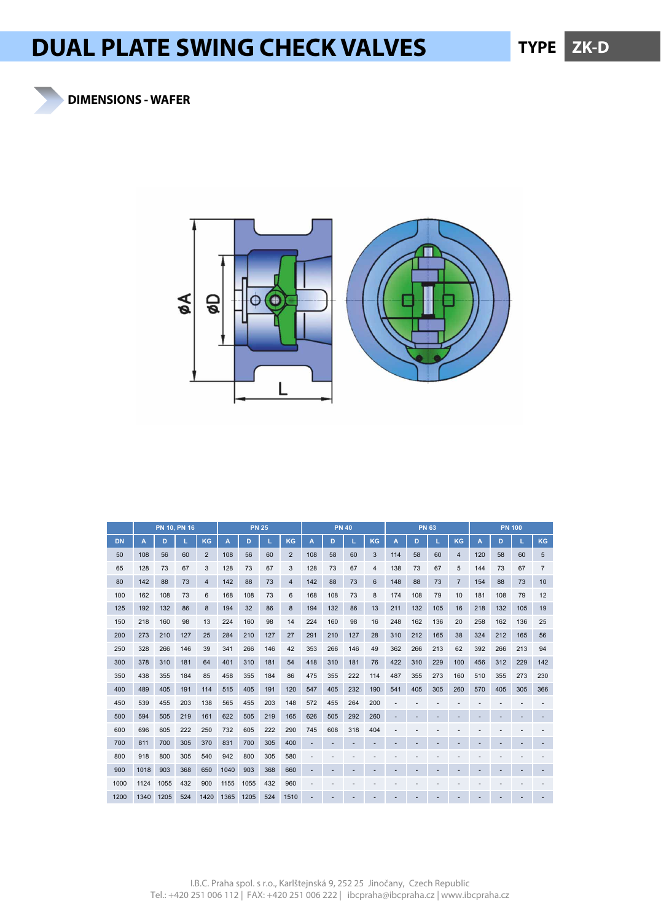



|           |      | PN 10, PN 16 |     |                | <b>PN 25</b> |      |     |                |     | <b>PN 40</b> |     |     |     | <b>PN 63</b> |     |                | <b>PN 100</b> |     |     |                |  |
|-----------|------|--------------|-----|----------------|--------------|------|-----|----------------|-----|--------------|-----|-----|-----|--------------|-----|----------------|---------------|-----|-----|----------------|--|
| <b>DN</b> | A    | D            |     | KG             | A            | D    | A   | D              |     | KG           | A   | D   |     | KG           | A   | D              |               | KG  |     |                |  |
| 50        | 108  | 56           | 60  | $\overline{2}$ | 108          | 56   | 60  | 2              | 108 | 58           | 60  | 3   | 114 | 58           | 60  | $\overline{4}$ | 120           | 58  | 60  | 5              |  |
| 65        | 128  | 73           | 67  | 3              | 128          | 73   | 67  | 3              | 128 | 73           | 67  | 4   | 138 | 73           | 67  | 5              | 144           | 73  | 67  | $\overline{7}$ |  |
| 80        | 142  | 88           | 73  | $\overline{4}$ | 142          | 88   | 73  | $\overline{4}$ | 142 | 88           | 73  | 6   | 148 | 88           | 73  | $\overline{7}$ | 154           | 88  | 73  | 10             |  |
| 100       | 162  | 108          | 73  | 6              | 168          | 108  | 73  | 6              | 168 | 108          | 73  | 8   | 174 | 108          | 79  | 10             | 181           | 108 | 79  | 12             |  |
| 125       | 192  | 132          | 86  | 8              | 194          | 32   | 86  | 8              | 194 | 132          | 86  | 13  | 211 | 132          | 105 | 16             | 218           | 132 | 105 | 19             |  |
| 150       | 218  | 160          | 98  | 13             | 224          | 160  | 98  | 14             | 224 | 160          | 98  | 16  | 248 | 162          | 136 | 20             | 258           | 162 | 136 | 25             |  |
| 200       | 273  | 210          | 127 | 25             | 284          | 210  | 127 | 27             | 291 | 210          | 127 | 28  | 310 | 212          | 165 | 38             | 324           | 212 | 165 | 56             |  |
| 250       | 328  | 266          | 146 | 39             | 341          | 266  | 146 | 42             | 353 | 266          | 146 | 49  | 362 | 266          | 213 | 62             | 392           | 266 | 213 | 94             |  |
| 300       | 378  | 310          | 181 | 64             | 401          | 310  | 181 | 54             | 418 | 310          | 181 | 76  | 422 | 310          | 229 | 100            | 456           | 312 | 229 | 142            |  |
| 350       | 438  | 355          | 184 | 85             | 458          | 355  | 184 | 86             | 475 | 355          | 222 | 114 | 487 | 355          | 273 | 160            | 510           | 355 | 273 | 230            |  |
| 400       | 489  | 405          | 191 | 114            | 515          | 405  | 191 | 120            | 547 | 405          | 232 | 190 | 541 | 405          | 305 | 260            | 570           | 405 | 305 | 366            |  |
| 450       | 539  | 455          | 203 | 138            | 565          | 455  | 203 | 148            | 572 | 455          | 264 | 200 |     |              |     |                |               |     |     |                |  |
| 500       | 594  | 505          | 219 | 161            | 622          | 505  | 219 | 165            | 626 | 505          | 292 | 260 |     |              |     |                |               |     |     |                |  |
| 600       | 696  | 605          | 222 | 250            | 732          | 605  | 222 | 290            | 745 | 608          | 318 | 404 |     |              |     |                |               |     |     |                |  |
| 700       | 811  | 700          | 305 | 370            | 831          | 700  | 305 | 400            |     |              |     |     |     |              |     |                |               |     |     |                |  |
| 800       | 918  | 800          | 305 | 540            | 942          | 800  | 305 | 580            |     |              |     |     |     |              |     |                |               |     |     |                |  |
| 900       | 1018 | 903          | 368 | 650            | 1040         | 903  | 368 | 660            |     |              |     |     |     |              |     |                |               |     |     |                |  |
| 1000      | 1124 | 1055         | 432 | 900            | 1155         | 1055 | 432 | 960            |     |              |     |     |     |              |     |                |               |     |     |                |  |
| 1200      | 1340 | 1205         | 524 | 1420           | 1365         | 1205 | 524 | 1510           |     |              |     |     |     |              |     |                |               |     |     |                |  |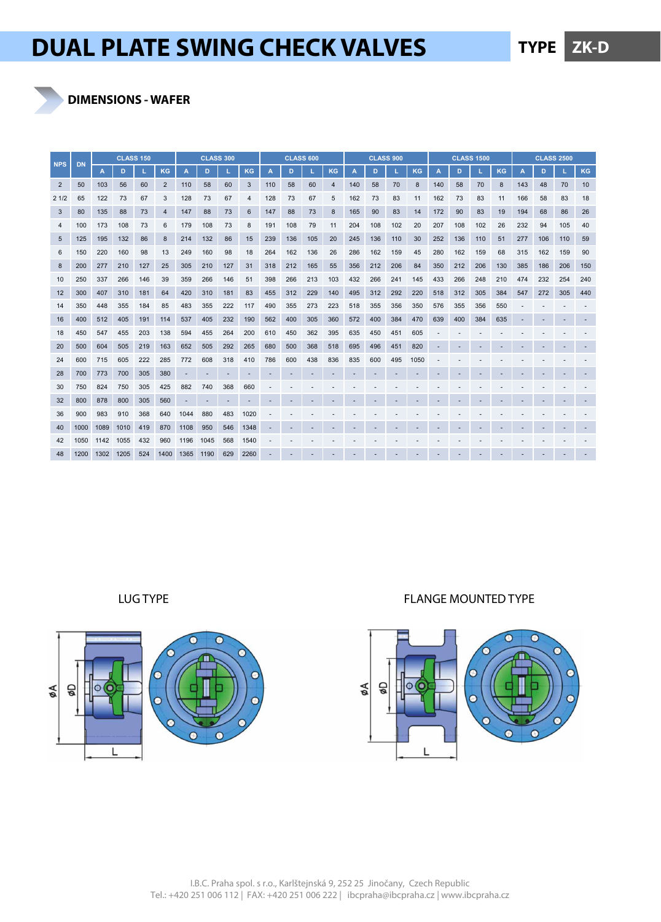**DIMENSIONS - WAFER**

|                | <b>DN</b> | <b>CLASS 150</b> |      |     |                | <b>CLASS 300</b> |      |     |           | <b>CLASS 600</b> |     |     |           | <b>CLASS 900</b> |     |     |           | <b>CLASS 1500</b> |     |     |           | <b>CLASS 2500</b> |     |     |           |
|----------------|-----------|------------------|------|-----|----------------|------------------|------|-----|-----------|------------------|-----|-----|-----------|------------------|-----|-----|-----------|-------------------|-----|-----|-----------|-------------------|-----|-----|-----------|
| <b>NPS</b>     |           | A                | D    |     | <b>KG</b>      | A                | D    |     | <b>KG</b> | A                | D   |     | <b>KG</b> | A                | D   |     | <b>KG</b> | $\overline{A}$    | D   |     | <b>KG</b> | A                 | D   |     | <b>KG</b> |
| $\overline{2}$ | 50        | 103              | 56   | 60  | $\overline{2}$ | 110              | 58   | 60  | 3         | 110              | 58  | 60  | 4         | 140              | 58  | 70  | 8         | 140               | 58  | 70  | 8         | 143               | 48  | 70  | 10        |
| 21/2           | 65        | 122              | 73   | 67  | 3              | 128              | 73   | 67  | 4         | 128              | 73  | 67  | 5         | 162              | 73  | 83  | 11        | 162               | 73  | 83  | 11        | 166               | 58  | 83  | 18        |
| 3              | 80        | 135              | 88   | 73  | 4              | 147              | 88   | 73  | 6         | 147              | 88  | 73  | 8         | 165              | 90  | 83  | 14        | 172               | 90  | 83  | 19        | 194               | 68  | 86  | 26        |
| 4              | 100       | 173              | 108  | 73  | 6              | 179              | 108  | 73  | 8         | 191              | 108 | 79  | 11        | 204              | 108 | 102 | 20        | 207               | 108 | 102 | 26        | 232               | 94  | 105 | 40        |
| 5              | 125       | 195              | 132  | 86  | 8              | 214              | 132  | 86  | 15        | 239              | 136 | 105 | 20        | 245              | 136 | 110 | 30        | 252               | 136 | 110 | 51        | 277               | 106 | 110 | 59        |
| 6              | 150       | 220              | 160  | 98  | 13             | 249              | 160  | 98  | 18        | 264              | 162 | 136 | 26        | 286              | 162 | 159 | 45        | 280               | 162 | 159 | 68        | 315               | 162 | 159 | 90        |
| 8              | 200       | 277              | 210  | 127 | 25             | 305              | 210  | 127 | 31        | 318              | 212 | 165 | 55        | 356              | 212 | 206 | 84        | 350               | 212 | 206 | 130       | 385               | 186 | 206 | 150       |
| 10             | 250       | 337              | 266  | 146 | 39             | 359              | 266  | 146 | 51        | 398              | 266 | 213 | 103       | 432              | 266 | 241 | 145       | 433               | 266 | 248 | 210       | 474               | 232 | 254 | 240       |
| 12             | 300       | 407              | 310  | 181 | 64             | 420              | 310  | 181 | 83        | 455              | 312 | 229 | 140       | 495              | 312 | 292 | 220       | 518               | 312 | 305 | 384       | 547               | 272 | 305 | 440       |
| 14             | 350       | 448              | 355  | 184 | 85             | 483              | 355  | 222 | 117       | 490              | 355 | 273 | 223       | 518              | 355 | 356 | 350       | 576               | 355 | 356 | 550       |                   |     |     |           |
| 16             | 400       | 512              | 405  | 191 | 114            | 537              | 405  | 232 | 190       | 562              | 400 | 305 | 360       | 572              | 400 | 384 | 470       | 639               | 400 | 384 | 635       |                   |     |     |           |
| 18             | 450       | 547              | 455  | 203 | 138            | 594              | 455  | 264 | 200       | 610              | 450 | 362 | 395       | 635              | 450 | 451 | 605       |                   |     |     |           |                   |     |     |           |
| 20             | 500       | 604              | 505  | 219 | 163            | 652              | 505  | 292 | 265       | 680              | 500 | 368 | 518       | 695              | 496 | 451 | 820       |                   |     |     |           |                   |     |     |           |
| 24             | 600       | 715              | 605  | 222 | 285            | 772              | 608  | 318 | 410       | 786              | 600 | 438 | 836       | 835              | 600 | 495 | 1050      |                   |     |     |           |                   |     |     |           |
| 28             | 700       | 773              | 700  | 305 | 380            |                  |      |     |           |                  |     |     |           |                  |     |     |           |                   |     |     |           |                   |     |     |           |
| 30             | 750       | 824              | 750  | 305 | 425            | 882              | 740  | 368 | 660       |                  |     |     |           |                  |     |     |           |                   |     |     |           |                   |     |     |           |
| 32             | 800       | 878              | 800  | 305 | 560            |                  |      |     |           |                  |     |     |           |                  |     |     |           |                   |     |     |           |                   |     |     |           |
| 36             | 900       | 983              | 910  | 368 | 640            | 1044             | 880  | 483 | 1020      |                  |     |     |           |                  |     |     |           |                   |     |     |           |                   |     |     |           |
| 40             | 1000      | 1089             | 1010 | 419 | 870            | 1108             | 950  | 546 | 1348      |                  |     |     |           |                  |     |     |           |                   |     |     |           |                   |     |     |           |
| 42             | 1050      | 1142             | 1055 | 432 | 960            | 1196             | 1045 | 568 | 1540      |                  |     |     |           |                  |     |     |           |                   |     |     |           |                   |     |     |           |
| 48             | 1200      | 1302             | 1205 | 524 | 1400           | 1365             | 1190 | 629 | 2260      |                  |     |     |           |                  |     |     |           |                   |     |     |           |                   |     |     |           |



LUG TYPE FLANGE MOUNTED TYPE

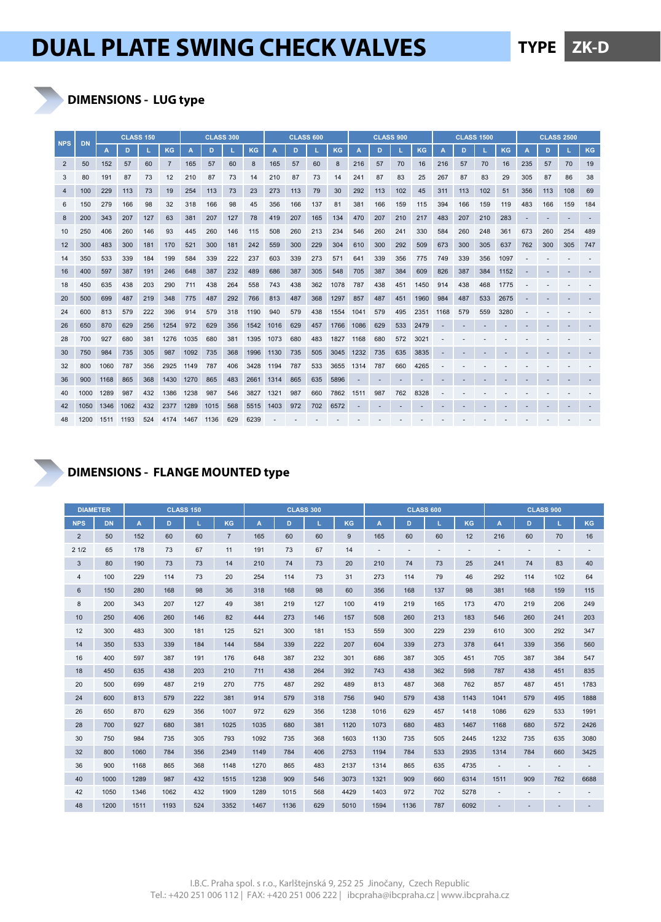### **DIMENSIONS - LUG type**

| <b>NPS</b>     | <b>DN</b> |      | <b>CLASS 150</b> |     |      | <b>CLASS 300</b> |      |     |      |      | <b>CLASS 600</b> |     |           | <b>CLASS 900</b> |     |     |      |      | <b>CLASS 1500</b> |     |      | <b>CLASS 2500</b> |     |     |     |
|----------------|-----------|------|------------------|-----|------|------------------|------|-----|------|------|------------------|-----|-----------|------------------|-----|-----|------|------|-------------------|-----|------|-------------------|-----|-----|-----|
|                |           | А    | D                |     | KG   |                  | D    |     | KG   | А    | D                |     | <b>KG</b> | А                | D   |     | KG   | А    | D                 |     | KG   |                   | D   |     | KG  |
| 2              | 50        | 152  | 57               | 60  |      | 165              | 57   | 60  | 8    | 165  | 57               | 60  | 8         | 216              | 57  | 70  | 16   | 216  | 57                | 70  | 16   | 235               | 57  | 70  | 19  |
| 3              | 80        | 191  | 87               | 73  | 12   | 210              | 87   | 73  | 14   | 210  | 87               | 73  | 14        | 241              | 87  | 83  | 25   | 267  | 87                | 83  | 29   | 305               | 87  | 86  | 38  |
| $\overline{4}$ | 100       | 229  | 113              | 73  | 19   | 254              | 113  | 73  | 23   | 273  | 113              | 79  | 30        | 292              | 113 | 102 | 45   | 311  | 113               | 102 | 51   | 356               | 113 | 108 | 69  |
| 6              | 150       | 279  | 166              | 98  | 32   | 318              | 166  | 98  | 45   | 356  | 166              | 137 | 81        | 381              | 166 | 159 | 115  | 394  | 166               | 159 | 119  | 483               | 166 | 159 | 184 |
| 8              | 200       | 343  | 207              | 127 | 63   | 381              | 207  | 127 | 78   | 419  | 207              | 165 | 134       | 470              | 207 | 210 | 217  | 483  | 207               | 210 | 283  |                   |     |     |     |
| 10             | 250       | 406  | 260              | 146 | 93   | 445              | 260  | 146 | 115  | 508  | 260              | 213 | 234       | 546              | 260 | 241 | 330  | 584  | 260               | 248 | 361  | 673               | 260 | 254 | 489 |
| 12             | 300       | 483  | 300              | 181 | 170  | 521              | 300  | 181 | 242  | 559  | 300              | 229 | 304       | 610              | 300 | 292 | 509  | 673  | 300               | 305 | 637  | 762               | 300 | 305 | 747 |
| 14             | 350       | 533  | 339              | 184 | 199  | 584              | 339  | 222 | 237  | 603  | 339              | 273 | 571       | 641              | 339 | 356 | 775  | 749  | 339               | 356 | 1097 |                   |     |     |     |
| 16             | 400       | 597  | 387              | 191 | 246  | 648              | 387  | 232 | 489  | 686  | 387              | 305 | 548       | 705              | 387 | 384 | 609  | 826  | 387               | 384 | 1152 |                   |     |     |     |
| 18             | 450       | 635  | 438              | 203 | 290  | 711              | 438  | 264 | 558  | 743  | 438              | 362 | 1078      | 787              | 438 | 451 | 1450 | 914  | 438               | 468 | 1775 |                   |     |     |     |
| 20             | 500       | 699  | 487              | 219 | 348  | 775              | 487  | 292 | 766  | 813  | 487              | 368 | 1297      | 857              | 487 | 451 | 1960 | 984  | 487               | 533 | 2675 |                   |     |     |     |
| 24             | 600       | 813  | 579              | 222 | 396  | 914              | 579  | 318 | 1190 | 940  | 579              | 438 | 1554      | 1041             | 579 | 495 | 2351 | 1168 | 579               | 559 | 3280 |                   |     |     |     |
| 26             | 650       | 870  | 629              | 256 | 1254 | 972              | 629  | 356 | 1542 | 1016 | 629              | 457 | 1766      | 1086             | 629 | 533 | 2479 |      |                   |     |      |                   |     |     |     |
| 28             | 700       | 927  | 680              | 381 | 1276 | 1035             | 680  | 381 | 1395 | 1073 | 680              | 483 | 1827      | 1168             | 680 | 572 | 3021 |      |                   |     |      |                   |     |     |     |
| 30             | 750       | 984  | 735              | 305 | 987  | 1092             | 735  | 368 | 1996 | 1130 | 735              | 505 | 3045      | 1232             | 735 | 635 | 3835 |      |                   |     |      |                   |     |     |     |
| 32             | 800       | 1060 | 787              | 356 | 2925 | 1149             | 787  | 406 | 3428 | 1194 | 787              | 533 | 3655      | 1314             | 787 | 660 | 4265 |      |                   |     |      |                   |     |     |     |
| 36             | 900       | 1168 | 865              | 368 | 1430 | 1270             | 865  | 483 | 2661 | 1314 | 865              | 635 | 5896      |                  |     |     |      |      |                   |     |      |                   |     |     |     |
| 40             | 1000      | 1289 | 987              | 432 | 1386 | 1238             | 987  | 546 | 3827 | 1321 | 987              | 660 | 7862      | 1511             | 987 | 762 | 8328 |      |                   |     |      |                   |     |     |     |
| 42             | 1050      | 1346 | 1062             | 432 | 2377 | 1289             | 1015 | 568 | 5515 | 1403 | 972              | 702 | 6572      |                  |     |     |      |      |                   |     |      |                   |     |     |     |
| 48             | 1200      | 1511 | 1193             | 524 | 4174 | 1467             | 1136 | 629 | 6239 |      |                  |     |           |                  |     |     |      |      |                   |     |      |                   |     |     |     |

#### **DIMENSIONS - FLANGE MOUNTED type**

| <b>DIAMETER</b> |           |      | <b>CLASS 150</b> |     |                |      |      | <b>CLASS 300</b> |      |      | <b>CLASS 600</b> |     |      | <b>CLASS 900</b> |     |     |      |  |
|-----------------|-----------|------|------------------|-----|----------------|------|------|------------------|------|------|------------------|-----|------|------------------|-----|-----|------|--|
| <b>NPS</b>      | <b>DN</b> | A    | D                | L   | KG             | A    | D    |                  | KG   | A    | D.               | ш   | KG   | A                | D   | L.  | KG   |  |
| $\overline{2}$  | 50        | 152  | 60               | 60  | $\overline{7}$ | 165  | 60   | 60               | 9    | 165  | 60               | 60  | 12   | 216              | 60  | 70  | 16   |  |
| 21/2            | 65        | 178  | 73               | 67  | 11             | 191  | 73   | 67               | 14   |      |                  |     | ٠    |                  |     |     |      |  |
| 3               | 80        | 190  | 73               | 73  | 14             | 210  | 74   | 73               | 20   | 210  | 74               | 73  | 25   | 241              | 74  | 83  | 40   |  |
| $\overline{4}$  | 100       | 229  | 114              | 73  | 20             | 254  | 114  | 73               | 31   | 273  | 114              | 79  | 46   | 292              | 114 | 102 | 64   |  |
| 6               | 150       | 280  | 168              | 98  | 36             | 318  | 168  | 98               | 60   | 356  | 168              | 137 | 98   | 381              | 168 | 159 | 115  |  |
| 8               | 200       | 343  | 207              | 127 | 49             | 381  | 219  | 127              | 100  | 419  | 219              | 165 | 173  | 470              | 219 | 206 | 249  |  |
| 10              | 250       | 406  | 260              | 146 | 82             | 444  | 273  | 146              | 157  | 508  | 260              | 213 | 183  | 546              | 260 | 241 | 203  |  |
| 12              | 300       | 483  | 300              | 181 | 125            | 521  | 300  | 181              | 153  | 559  | 300              | 229 | 239  | 610              | 300 | 292 | 347  |  |
| 14              | 350       | 533  | 339              | 184 | 144            | 584  | 339  | 222              | 207  | 604  | 339              | 273 | 378  | 641              | 339 | 356 | 560  |  |
| 16              | 400       | 597  | 387              | 191 | 176            | 648  | 387  | 232              | 301  | 686  | 387              | 305 | 451  | 705              | 387 | 384 | 547  |  |
| 18              | 450       | 635  | 438              | 203 | 210            | 711  | 438  | 264              | 392  | 743  | 438              | 362 | 598  | 787              | 438 | 451 | 835  |  |
| 20              | 500       | 699  | 487              | 219 | 270            | 775  | 487  | 292              | 489  | 813  | 487              | 368 | 762  | 857              | 487 | 451 | 1783 |  |
| 24              | 600       | 813  | 579              | 222 | 381            | 914  | 579  | 318              | 756  | 940  | 579              | 438 | 1143 | 1041             | 579 | 495 | 1888 |  |
| 26              | 650       | 870  | 629              | 356 | 1007           | 972  | 629  | 356              | 1238 | 1016 | 629              | 457 | 1418 | 1086             | 629 | 533 | 1991 |  |
| 28              | 700       | 927  | 680              | 381 | 1025           | 1035 | 680  | 381              | 1120 | 1073 | 680              | 483 | 1467 | 1168             | 680 | 572 | 2426 |  |
| 30              | 750       | 984  | 735              | 305 | 793            | 1092 | 735  | 368              | 1603 | 1130 | 735              | 505 | 2445 | 1232             | 735 | 635 | 3080 |  |
| 32              | 800       | 1060 | 784              | 356 | 2349           | 1149 | 784  | 406              | 2753 | 1194 | 784              | 533 | 2935 | 1314             | 784 | 660 | 3425 |  |
| 36              | 900       | 1168 | 865              | 368 | 1148           | 1270 | 865  | 483              | 2137 | 1314 | 865              | 635 | 4735 |                  |     |     |      |  |
| 40              | 1000      | 1289 | 987              | 432 | 1515           | 1238 | 909  | 546              | 3073 | 1321 | 909              | 660 | 6314 | 1511             | 909 | 762 | 6688 |  |
| 42              | 1050      | 1346 | 1062             | 432 | 1909           | 1289 | 1015 | 568              | 4429 | 1403 | 972              | 702 | 5278 |                  |     |     |      |  |
| 48              | 1200      | 1511 | 1193             | 524 | 3352           | 1467 | 1136 | 629              | 5010 | 1594 | 1136             | 787 | 6092 |                  |     |     |      |  |